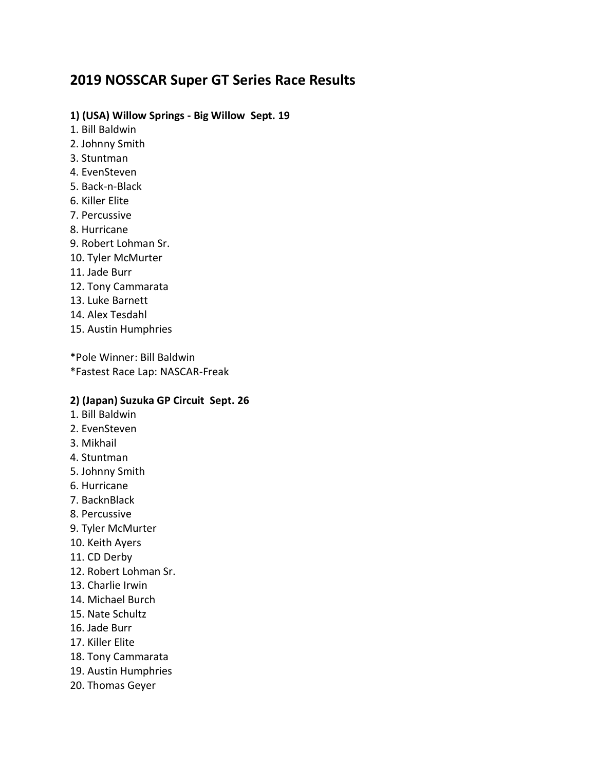# **2019 NOSSCAR Super GT Series Race Results**

### **1) (USA) Willow Springs - Big Willow Sept. 19**

- 1. Bill Baldwin
- 2. Johnny Smith
- 3. Stuntman
- 4. EvenSteven
- 5. Back-n-Black
- 6. Killer Elite
- 7. Percussive
- 8. Hurricane
- 9. Robert Lohman Sr.
- 10. Tyler McMurter
- 11. Jade Burr
- 12. Tony Cammarata
- 13. Luke Barnett
- 14. Alex Tesdahl
- 15. Austin Humphries

\*Pole Winner: Bill Baldwin \*Fastest Race Lap: NASCAR-Freak

#### **2) (Japan) Suzuka GP Circuit Sept. 26**

- 1. Bill Baldwin
- 2. EvenSteven
- 3. Mikhail
- 4. Stuntman
- 5. Johnny Smith
- 6. Hurricane
- 7. BacknBlack
- 8. Percussive
- 9. Tyler McMurter
- 10. Keith Ayers
- 11. CD Derby
- 12. Robert Lohman Sr.
- 13. Charlie Irwin
- 14. Michael Burch
- 15. Nate Schultz
- 16. Jade Burr
- 17. Killer Elite
- 18. Tony Cammarata
- 19. Austin Humphries
- 20. Thomas Geyer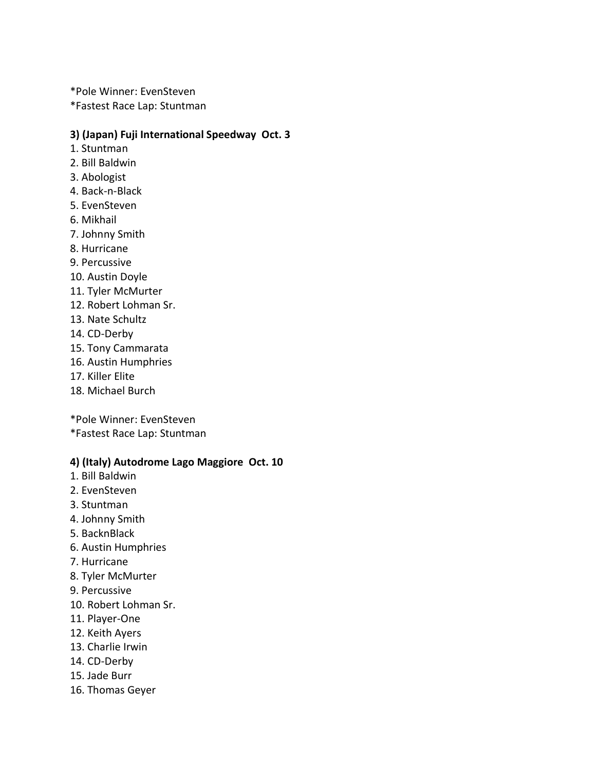\*Pole Winner: EvenSteven \*Fastest Race Lap: Stuntman

### **3) (Japan) Fuji International Speedway Oct. 3**

- 1. Stuntman
- 2. Bill Baldwin
- 3. Abologist
- 4. Back-n-Black
- 5. EvenSteven
- 6. Mikhail
- 7. Johnny Smith
- 8. Hurricane
- 9. Percussive
- 10. Austin Doyle
- 11. Tyler McMurter
- 12. Robert Lohman Sr.
- 13. Nate Schultz
- 14. CD-Derby
- 15. Tony Cammarata
- 16. Austin Humphries
- 17. Killer Elite
- 18. Michael Burch
- \*Pole Winner: EvenSteven
- \*Fastest Race Lap: Stuntman

#### **4) (Italy) Autodrome Lago Maggiore Oct. 10**

- 1. Bill Baldwin
- 2. EvenSteven
- 3. Stuntman
- 4. Johnny Smith
- 5. BacknBlack
- 6. Austin Humphries
- 7. Hurricane
- 8. Tyler McMurter
- 9. Percussive
- 10. Robert Lohman Sr.
- 11. Player-One
- 12. Keith Ayers
- 13. Charlie Irwin
- 14. CD-Derby
- 15. Jade Burr
- 16. Thomas Geyer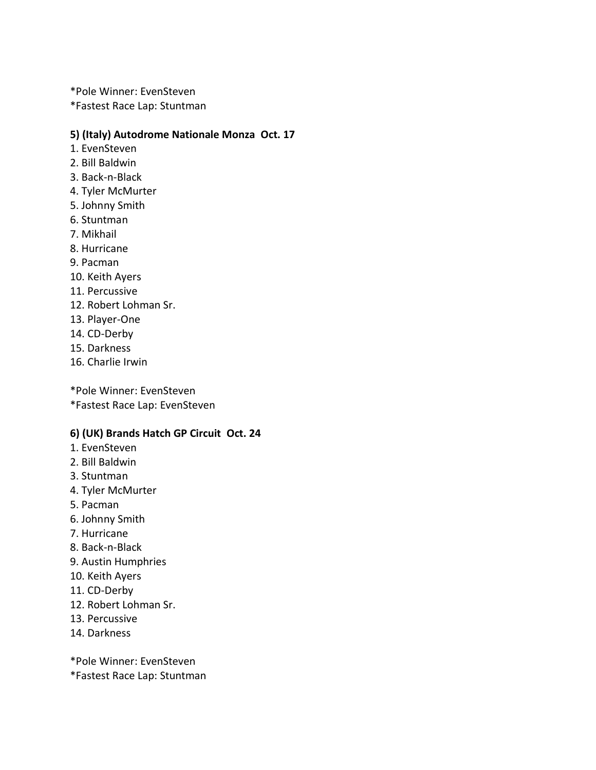\*Pole Winner: EvenSteven

\*Fastest Race Lap: Stuntman

### **5) (Italy) Autodrome Nationale Monza Oct. 17**

- 1. EvenSteven
- 2. Bill Baldwin
- 3. Back-n-Black
- 4. Tyler McMurter
- 5. Johnny Smith
- 6. Stuntman
- 7. Mikhail
- 8. Hurricane
- 9. Pacman
- 10. Keith Ayers
- 11. Percussive
- 12. Robert Lohman Sr.
- 13. Player-One
- 14. CD-Derby
- 15. Darkness
- 16. Charlie Irwin

\*Pole Winner: EvenSteven \*Fastest Race Lap: EvenSteven

## **6) (UK) Brands Hatch GP Circuit Oct. 24**

- 1. EvenSteven
- 2. Bill Baldwin
- 3. Stuntman
- 4. Tyler McMurter
- 5. Pacman
- 6. Johnny Smith
- 7. Hurricane
- 8. Back-n-Black
- 9. Austin Humphries
- 10. Keith Ayers
- 11. CD-Derby
- 12. Robert Lohman Sr.
- 13. Percussive
- 14. Darkness

\*Pole Winner: EvenSteven

\*Fastest Race Lap: Stuntman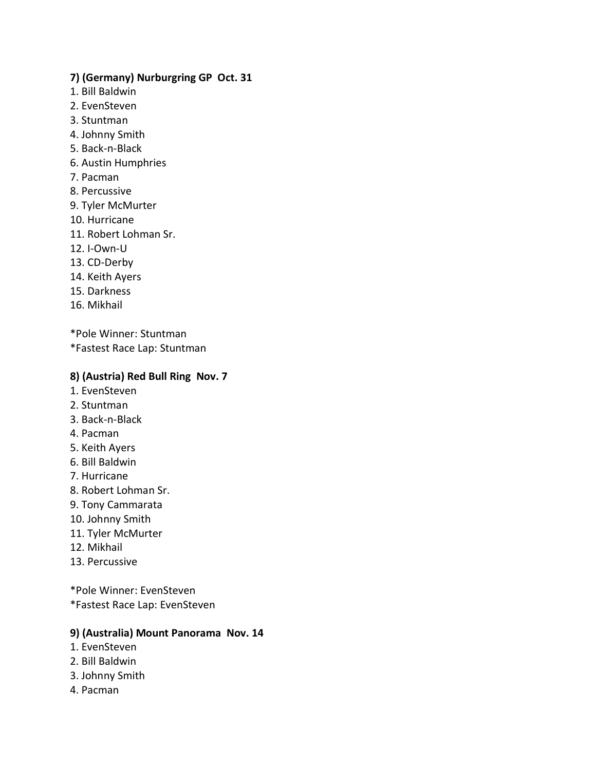### **7) (Germany) Nurburgring GP Oct. 31**

- 1. Bill Baldwin
- 2. EvenSteven
- 3. Stuntman
- 4. Johnny Smith
- 5. Back-n-Black
- 6. Austin Humphries
- 7. Pacman
- 8. Percussive
- 9. Tyler McMurter
- 10. Hurricane
- 11. Robert Lohman Sr.
- 12. I-Own-U
- 13. CD-Derby
- 14. Keith Ayers
- 15. Darkness
- 16. Mikhail

\*Pole Winner: Stuntman

\*Fastest Race Lap: Stuntman

### **8) (Austria) Red Bull Ring Nov. 7**

- 1. EvenSteven
- 2. Stuntman
- 3. Back-n-Black
- 4. Pacman
- 5. Keith Ayers
- 6. Bill Baldwin
- 7. Hurricane
- 8. Robert Lohman Sr.
- 9. Tony Cammarata
- 10. Johnny Smith
- 11. Tyler McMurter
- 12. Mikhail
- 13. Percussive

\*Pole Winner: EvenSteven \*Fastest Race Lap: EvenSteven

### **9) (Australia) Mount Panorama Nov. 14**

- 1. EvenSteven
- 2. Bill Baldwin
- 3. Johnny Smith
- 4. Pacman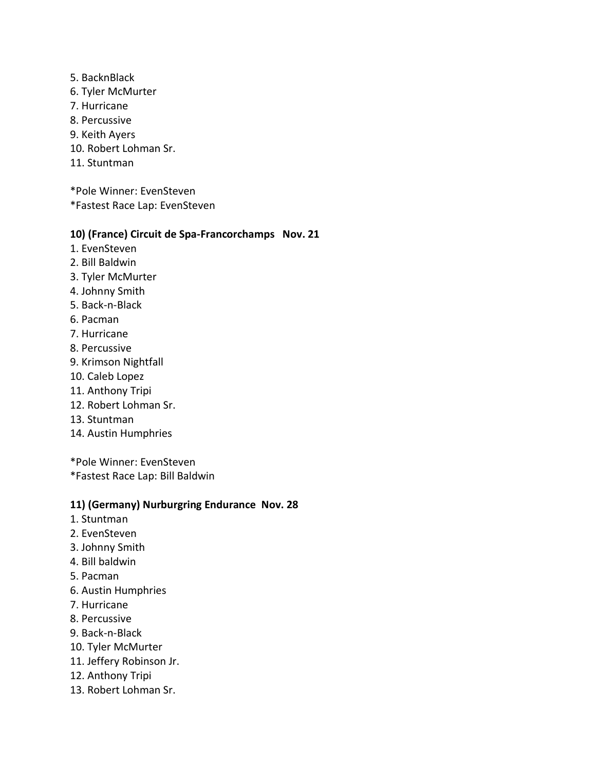- 5. BacknBlack
- 6. Tyler McMurter
- 7. Hurricane
- 8. Percussive
- 9. Keith Ayers
- 10. Robert Lohman Sr.
- 11. Stuntman

\*Pole Winner: EvenSteven

\*Fastest Race Lap: EvenSteven

### **10) (France) Circuit de Spa-Francorchamps Nov. 21**

- 1. EvenSteven
- 2. Bill Baldwin
- 3. Tyler McMurter
- 4. Johnny Smith
- 5. Back-n-Black
- 6. Pacman
- 7. Hurricane
- 8. Percussive
- 9. Krimson Nightfall
- 10. Caleb Lopez
- 11. Anthony Tripi
- 12. Robert Lohman Sr.
- 13. Stuntman
- 14. Austin Humphries

\*Pole Winner: EvenSteven

\*Fastest Race Lap: Bill Baldwin

### **11) (Germany) Nurburgring Endurance Nov. 28**

- 1. Stuntman
- 2. EvenSteven
- 3. Johnny Smith
- 4. Bill baldwin
- 5. Pacman
- 6. Austin Humphries
- 7. Hurricane
- 8. Percussive
- 9. Back-n-Black
- 10. Tyler McMurter
- 11. Jeffery Robinson Jr.
- 12. Anthony Tripi
- 13. Robert Lohman Sr.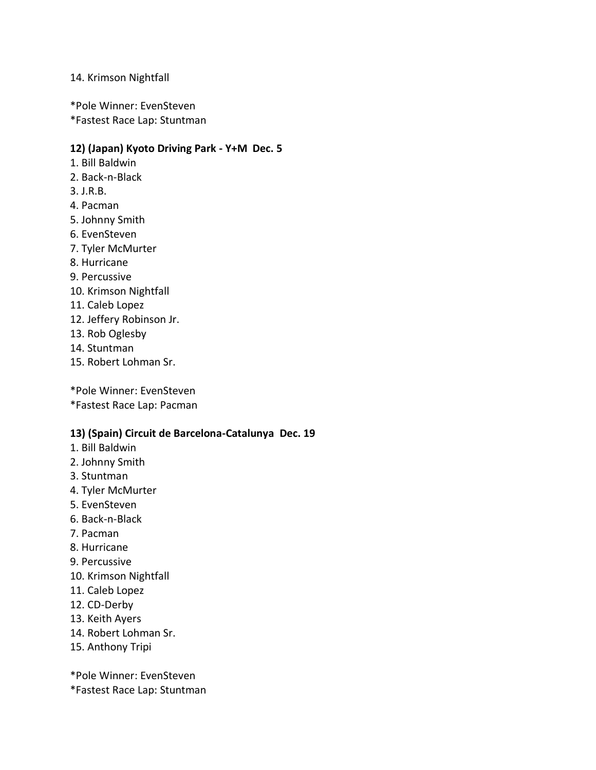### 14. Krimson Nightfall

\*Pole Winner: EvenSteven

\*Fastest Race Lap: Stuntman

### **12) (Japan) Kyoto Driving Park - Y+M Dec. 5**

- 1. Bill Baldwin
- 2. Back-n-Black
- 3. J.R.B.
- 4. Pacman
- 5. Johnny Smith
- 6. EvenSteven
- 7. Tyler McMurter
- 8. Hurricane
- 9. Percussive
- 10. Krimson Nightfall
- 11. Caleb Lopez
- 12. Jeffery Robinson Jr.
- 13. Rob Oglesby
- 14. Stuntman
- 15. Robert Lohman Sr.

\*Pole Winner: EvenSteven \*Fastest Race Lap: Pacman

### **13) (Spain) Circuit de Barcelona-Catalunya Dec. 19**

- 1. Bill Baldwin
- 2. Johnny Smith
- 3. Stuntman
- 4. Tyler McMurter
- 5. EvenSteven
- 6. Back-n-Black
- 7. Pacman
- 8. Hurricane
- 9. Percussive
- 10. Krimson Nightfall
- 11. Caleb Lopez
- 12. CD-Derby
- 13. Keith Ayers
- 14. Robert Lohman Sr.
- 15. Anthony Tripi

\*Pole Winner: EvenSteven

\*Fastest Race Lap: Stuntman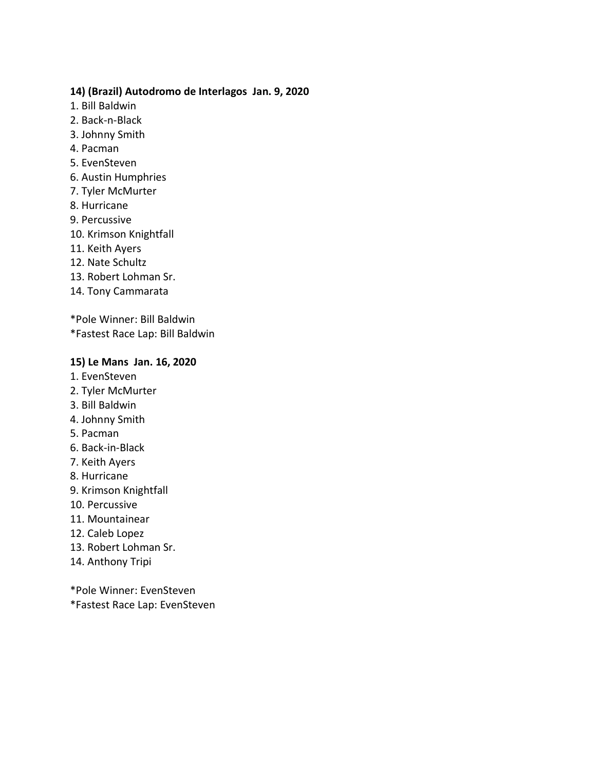### **14) (Brazil) Autodromo de Interlagos Jan. 9, 2020**

- 1. Bill Baldwin
- 2. Back-n-Black
- 3. Johnny Smith
- 4. Pacman
- 5. EvenSteven
- 6. Austin Humphries
- 7. Tyler McMurter
- 8. Hurricane
- 9. Percussive
- 10. Krimson Knightfall
- 11. Keith Ayers
- 12. Nate Schultz
- 13. Robert Lohman Sr.
- 14. Tony Cammarata

\*Pole Winner: Bill Baldwin

\*Fastest Race Lap: Bill Baldwin

### **15) Le Mans Jan. 16, 2020**

- 1. EvenSteven
- 2. Tyler McMurter
- 3. Bill Baldwin
- 4. Johnny Smith
- 5. Pacman
- 6. Back-in-Black
- 7. Keith Ayers
- 8. Hurricane
- 9. Krimson Knightfall
- 10. Percussive
- 11. Mountainear
- 12. Caleb Lopez
- 13. Robert Lohman Sr.
- 14. Anthony Tripi

\*Pole Winner: EvenSteven \*Fastest Race Lap: EvenSteven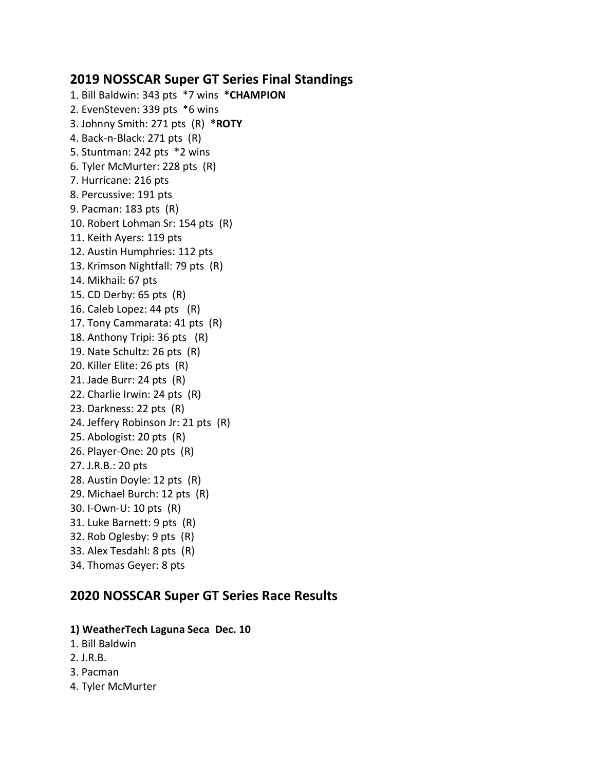# **2019 NOSSCAR Super GT Series Final Standings**

1. Bill Baldwin: 343 pts \*7 wins **\*CHAMPION** 2. EvenSteven: 339 pts \*6 wins 3. Johnny Smith: 271 pts (R) **\*ROTY** 4. Back-n-Black: 271 pts (R) 5. Stuntman: 242 pts \*2 wins 6. Tyler McMurter: 228 pts (R) 7. Hurricane: 216 pts 8. Percussive: 191 pts 9. Pacman: 183 pts (R) 10. Robert Lohman Sr: 154 pts (R) 11. Keith Ayers: 119 pts 12. Austin Humphries: 112 pts 13. Krimson Nightfall: 79 pts (R) 14. Mikhail: 67 pts 15. CD Derby: 65 pts (R) 16. Caleb Lopez: 44 pts (R) 17. Tony Cammarata: 41 pts (R) 18. Anthony Tripi: 36 pts (R) 19. Nate Schultz: 26 pts (R) 20. Killer Elite: 26 pts (R) 21. Jade Burr: 24 pts (R) 22. Charlie Irwin: 24 pts (R) 23. Darkness: 22 pts (R) 24. Jeffery Robinson Jr: 21 pts (R) 25. Abologist: 20 pts (R) 26. Player-One: 20 pts (R) 27. J.R.B.: 20 pts 28. Austin Doyle: 12 pts (R) 29. Michael Burch: 12 pts (R) 30. I-Own-U: 10 pts (R) 31. Luke Barnett: 9 pts (R) 32. Rob Oglesby: 9 pts (R) 33. Alex Tesdahl: 8 pts (R) 34. Thomas Geyer: 8 pts

# **2020 NOSSCAR Super GT Series Race Results**

### **1) WeatherTech Laguna Seca Dec. 10**

- 1. Bill Baldwin
- 2. J.R.B.
- 3. Pacman
- 4. Tyler McMurter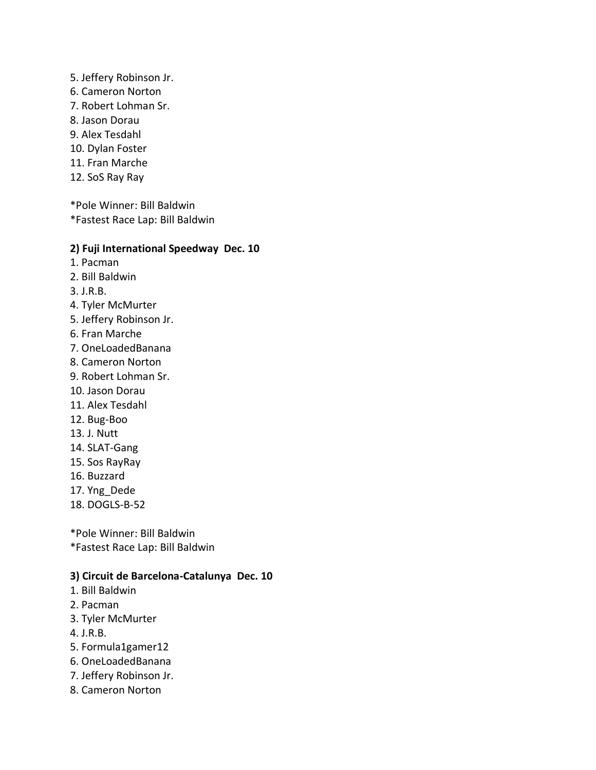- 5. Jeffery Robinson Jr.
- 6. Cameron Norton
- 7. Robert Lohman Sr.
- 8. Jason Dorau
- 9. Alex Tesdahl
- 10. Dylan Foster
- 11. Fran Marche
- 12. SoS Ray Ray

\*Pole Winner: Bill Baldwin \*Fastest Race Lap: Bill Baldwin

### **2) Fuji International Speedway Dec. 10**

- 1. Pacman
- 2. Bill Baldwin
- 3. J.R.B.
- 4. Tyler McMurter
- 5. Jeffery Robinson Jr.
- 6. Fran Marche
- 7. OneLoadedBanana
- 8. Cameron Norton
- 9. Robert Lohman Sr.
- 10. Jason Dorau
- 11. Alex Tesdahl
- 12. Bug-Boo
- 13. J. Nutt
- 14. SLAT-Gang
- 15. Sos RayRay
- 16. Buzzard
- 17. Yng\_Dede
- 18. DOGLS-B-52

\*Pole Winner: Bill Baldwin \*Fastest Race Lap: Bill Baldwin

### **3) Circuit de Barcelona-Catalunya Dec. 10**

- 1. Bill Baldwin
- 2. Pacman
- 3. Tyler McMurter
- 4. J.R.B.
- 5. Formula1gamer12
- 6. OneLoadedBanana
- 7. Jeffery Robinson Jr.
- 8. Cameron Norton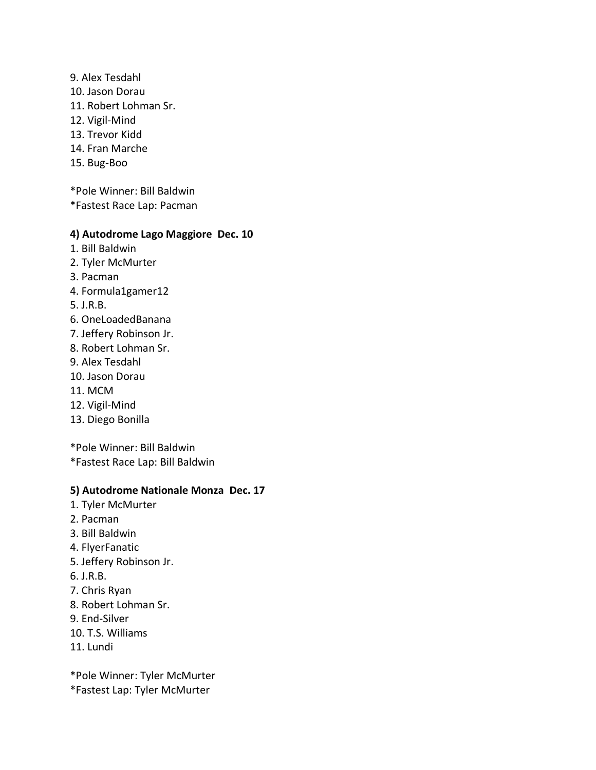- 9. Alex Tesdahl
- 10. Jason Dorau
- 11. Robert Lohman Sr.
- 12. Vigil-Mind
- 13. Trevor Kidd
- 14. Fran Marche
- 15. Bug-Boo

\*Pole Winner: Bill Baldwin

\*Fastest Race Lap: Pacman

### **4) Autodrome Lago Maggiore Dec. 10**

- 1. Bill Baldwin
- 2. Tyler McMurter
- 3. Pacman
- 4. Formula1gamer12
- 5. J.R.B.
- 6. OneLoadedBanana
- 7. Jeffery Robinson Jr.
- 8. Robert Lohman Sr.
- 9. Alex Tesdahl
- 10. Jason Dorau
- 11. MCM
- 12. Vigil-Mind
- 13. Diego Bonilla

\*Pole Winner: Bill Baldwin

\*Fastest Race Lap: Bill Baldwin

### **5) Autodrome Nationale Monza Dec. 17**

- 1. Tyler McMurter
- 2. Pacman
- 3. Bill Baldwin
- 4. FlyerFanatic
- 5. Jeffery Robinson Jr.
- 6. J.R.B.
- 7. Chris Ryan
- 8. Robert Lohman Sr.
- 9. End-Silver
- 10. T.S. Williams
- 11. Lundi

\*Pole Winner: Tyler McMurter

\*Fastest Lap: Tyler McMurter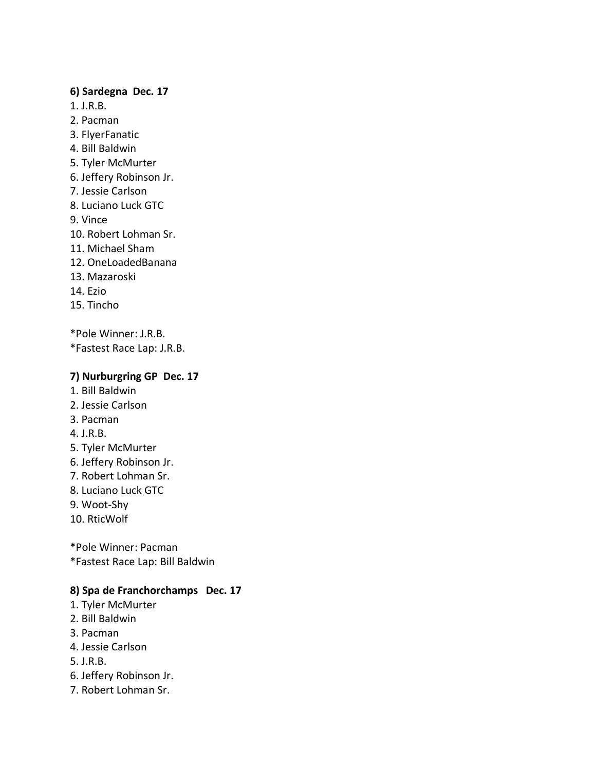### **6) Sardegna Dec. 17**

- 1. J.R.B.
- 2. Pacman
- 3. FlyerFanatic
- 4. Bill Baldwin
- 5. Tyler McMurter
- 6. Jeffery Robinson Jr.
- 7. Jessie Carlson
- 8. Luciano Luck GTC
- 9. Vince
- 10. Robert Lohman Sr.
- 11. Michael Sham
- 12. OneLoadedBanana
- 13. Mazaroski
- 14. Ezio
- 15. Tincho

\*Pole Winner: J.R.B. \*Fastest Race Lap: J.R.B.

## **7) Nurburgring GP Dec. 17**

- 1. Bill Baldwin
- 2. Jessie Carlson
- 3. Pacman
- 4. J.R.B.
- 5. Tyler McMurter
- 6. Jeffery Robinson Jr.
- 7. Robert Lohman Sr.
- 8. Luciano Luck GTC
- 9. Woot-Shy
- 10. RticWolf

\*Pole Winner: Pacman \*Fastest Race Lap: Bill Baldwin

## **8) Spa de Franchorchamps Dec. 17**

- 1. Tyler McMurter
- 2. Bill Baldwin
- 3. Pacman
- 4. Jessie Carlson
- 5. J.R.B.
- 6. Jeffery Robinson Jr.
- 7. Robert Lohman Sr.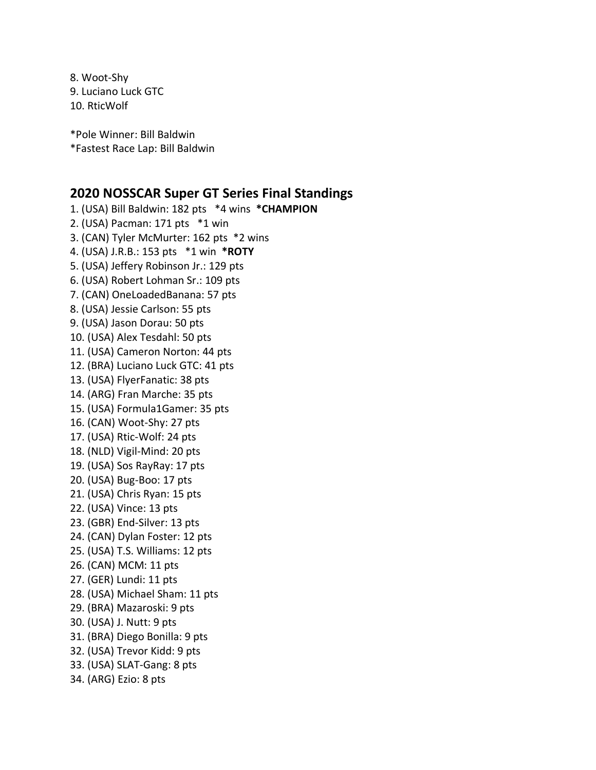8. Woot-Shy 9. Luciano Luck GTC 10. RticWolf

\*Pole Winner: Bill Baldwin \*Fastest Race Lap: Bill Baldwin

## **2020 NOSSCAR Super GT Series Final Standings**

1. (USA) Bill Baldwin: 182 pts \*4 wins **\*CHAMPION** 2. (USA) Pacman: 171 pts \*1 win 3. (CAN) Tyler McMurter: 162 pts \*2 wins 4. (USA) J.R.B.: 153 pts \*1 win **\*ROTY** 5. (USA) Jeffery Robinson Jr.: 129 pts 6. (USA) Robert Lohman Sr.: 109 pts 7. (CAN) OneLoadedBanana: 57 pts 8. (USA) Jessie Carlson: 55 pts 9. (USA) Jason Dorau: 50 pts 10. (USA) Alex Tesdahl: 50 pts 11. (USA) Cameron Norton: 44 pts 12. (BRA) Luciano Luck GTC: 41 pts 13. (USA) FlyerFanatic: 38 pts 14. (ARG) Fran Marche: 35 pts 15. (USA) Formula1Gamer: 35 pts 16. (CAN) Woot-Shy: 27 pts 17. (USA) Rtic-Wolf: 24 pts 18. (NLD) Vigil-Mind: 20 pts 19. (USA) Sos RayRay: 17 pts 20. (USA) Bug-Boo: 17 pts 21. (USA) Chris Ryan: 15 pts 22. (USA) Vince: 13 pts 23. (GBR) End-Silver: 13 pts 24. (CAN) Dylan Foster: 12 pts 25. (USA) T.S. Williams: 12 pts 26. (CAN) MCM: 11 pts 27. (GER) Lundi: 11 pts 28. (USA) Michael Sham: 11 pts 29. (BRA) Mazaroski: 9 pts 30. (USA) J. Nutt: 9 pts 31. (BRA) Diego Bonilla: 9 pts 32. (USA) Trevor Kidd: 9 pts 33. (USA) SLAT-Gang: 8 pts 34. (ARG) Ezio: 8 pts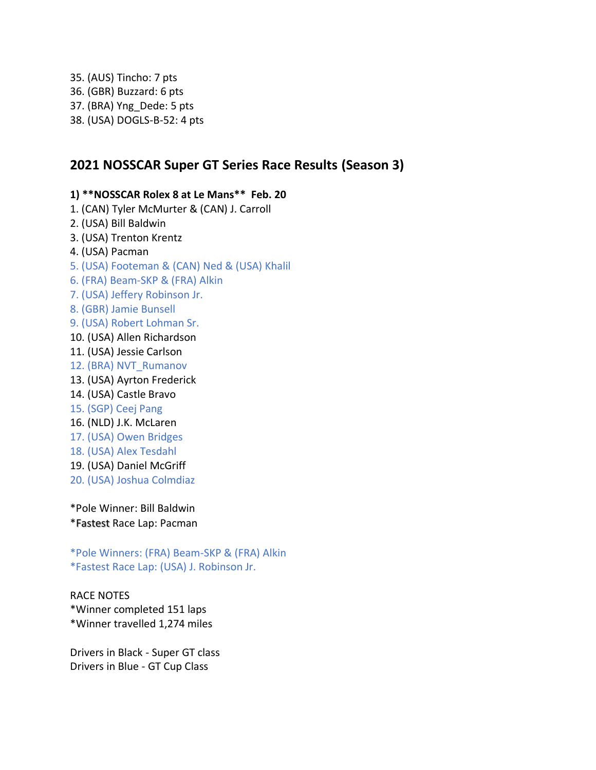35. (AUS) Tincho: 7 pts 36. (GBR) Buzzard: 6 pts 37. (BRA) Yng\_Dede: 5 pts 38. (USA) DOGLS-B-52: 4 pts

## **2021 NOSSCAR Super GT Series Race Results (Season 3)**

**1) \*\*NOSSCAR Rolex 8 at Le Mans\*\* Feb. 20** 1. (CAN) Tyler McMurter & (CAN) J. Carroll 2. (USA) Bill Baldwin 3. (USA) Trenton Krentz 4. (USA) Pacman 5. (USA) Footeman & (CAN) Ned & (USA) Khalil 6. (FRA) Beam-SKP & (FRA) Alkin 7. (USA) Jeffery Robinson Jr. 8. (GBR) Jamie Bunsell 9. (USA) Robert Lohman Sr. 10. (USA) Allen Richardson 11. (USA) Jessie Carlson 12. (BRA) NVT\_Rumanov 13. (USA) Ayrton Frederick 14. (USA) Castle Bravo 15. (SGP) Ceej Pang 16. (NLD) J.K. McLaren 17. (USA) Owen Bridges

- 18. (USA) Alex Tesdahl
- 19. (USA) Daniel McGriff
- 20. (USA) Joshua Colmdiaz

\*Pole Winner: Bill Baldwin \*Fastest Race Lap: Pacman

\*Pole Winners: (FRA) Beam-SKP & (FRA) Alkin \*Fastest Race Lap: (USA) J. Robinson Jr.

RACE NOTES \*Winner completed 151 laps \*Winner travelled 1,274 miles

Drivers in Black - Super GT class Drivers in Blue - GT Cup Class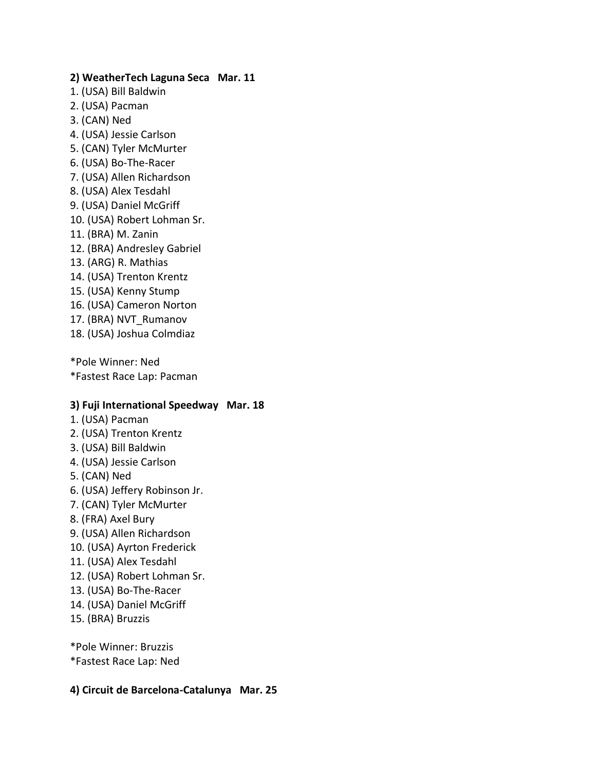### **2) WeatherTech Laguna Seca Mar. 11**

- 1. (USA) Bill Baldwin
- 2. (USA) Pacman
- 3. (CAN) Ned
- 4. (USA) Jessie Carlson
- 5. (CAN) Tyler McMurter
- 6. (USA) Bo-The-Racer
- 7. (USA) Allen Richardson
- 8. (USA) Alex Tesdahl
- 9. (USA) Daniel McGriff
- 10. (USA) Robert Lohman Sr.
- 11. (BRA) M. Zanin
- 12. (BRA) Andresley Gabriel
- 13. (ARG) R. Mathias
- 14. (USA) Trenton Krentz
- 15. (USA) Kenny Stump
- 16. (USA) Cameron Norton
- 17. (BRA) NVT\_Rumanov
- 18. (USA) Joshua Colmdiaz

\*Pole Winner: Ned

\*Fastest Race Lap: Pacman

### **3) Fuji International Speedway Mar. 18**

- 1. (USA) Pacman
- 2. (USA) Trenton Krentz
- 3. (USA) Bill Baldwin
- 4. (USA) Jessie Carlson
- 5. (CAN) Ned
- 6. (USA) Jeffery Robinson Jr.
- 7. (CAN) Tyler McMurter
- 8. (FRA) Axel Bury
- 9. (USA) Allen Richardson
- 10. (USA) Ayrton Frederick
- 11. (USA) Alex Tesdahl
- 12. (USA) Robert Lohman Sr.
- 13. (USA) Bo-The-Racer
- 14. (USA) Daniel McGriff
- 15. (BRA) Bruzzis

\*Pole Winner: Bruzzis \*Fastest Race Lap: Ned

### **4) Circuit de Barcelona-Catalunya Mar. 25**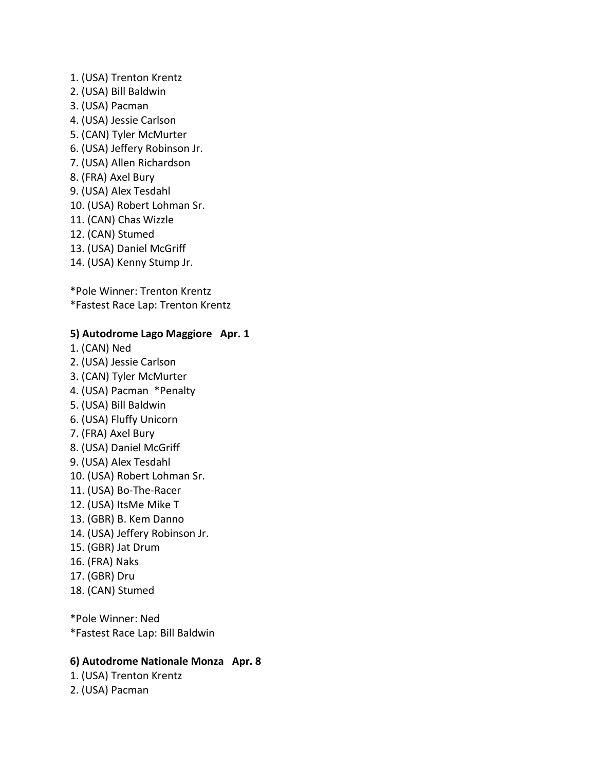- 1. (USA) Trenton Krentz
- 2. (USA) Bill Baldwin
- 3. (USA) Pacman
- 4. (USA) Jessie Carlson
- 5. (CAN) Tyler McMurter
- 6. (USA) Jeffery Robinson Jr.
- 7. (USA) Allen Richardson
- 8. (FRA) Axel Bury
- 9. (USA) Alex Tesdahl
- 10. (USA) Robert Lohman Sr.
- 11. (CAN) Chas Wizzle
- 12. (CAN) Stumed
- 13. (USA) Daniel McGriff
- 14. (USA) Kenny Stump Jr.

\*Pole Winner: Trenton Krentz \*Fastest Race Lap: Trenton Krentz

### **5) Autodrome Lago Maggiore Apr. 1**

- 1. (CAN) Ned
- 2. (USA) Jessie Carlson
- 3. (CAN) Tyler McMurter
- 4. (USA) Pacman \*Penalty
- 5. (USA) Bill Baldwin
- 6. (USA) Fluffy Unicorn
- 7. (FRA) Axel Bury
- 8. (USA) Daniel McGriff
- 9. (USA) Alex Tesdahl
- 10. (USA) Robert Lohman Sr.
- 11. (USA) Bo-The-Racer
- 12. (USA) ItsMe Mike T
- 13. (GBR) B. Kem Danno
- 14. (USA) Jeffery Robinson Jr.
- 15. (GBR) Jat Drum
- 16. (FRA) Naks
- 17. (GBR) Dru
- 18. (CAN) Stumed

\*Pole Winner: Ned \*Fastest Race Lap: Bill Baldwin

### **6) Autodrome Nationale Monza Apr. 8**

1. (USA) Trenton Krentz

2. (USA) Pacman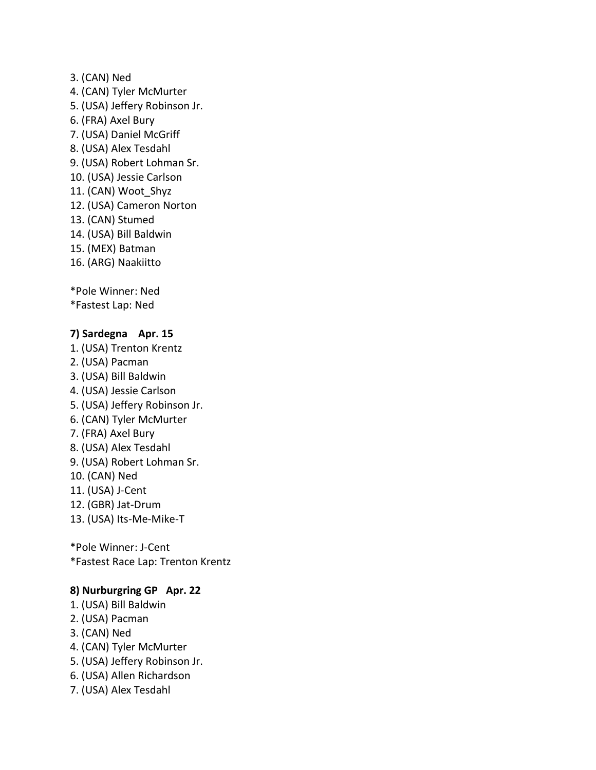- 3. (CAN) Ned
- 4. (CAN) Tyler McMurter
- 5. (USA) Jeffery Robinson Jr.
- 6. (FRA) Axel Bury
- 7. (USA) Daniel McGriff
- 8. (USA) Alex Tesdahl
- 9. (USA) Robert Lohman Sr.
- 10. (USA) Jessie Carlson
- 11. (CAN) Woot\_Shyz
- 12. (USA) Cameron Norton
- 13. (CAN) Stumed
- 14. (USA) Bill Baldwin
- 15. (MEX) Batman
- 16. (ARG) Naakiitto

\*Pole Winner: Ned

\*Fastest Lap: Ned

### **7) Sardegna Apr. 15**

1. (USA) Trenton Krentz 2. (USA) Pacman 3. (USA) Bill Baldwin 4. (USA) Jessie Carlson 5. (USA) Jeffery Robinson Jr. 6. (CAN) Tyler McMurter 7. (FRA) Axel Bury 8. (USA) Alex Tesdahl 9. (USA) Robert Lohman Sr. 10. (CAN) Ned 11. (USA) J-Cent 12. (GBR) Jat-Drum 13. (USA) Its-Me-Mike-T

\*Pole Winner: J-Cent \*Fastest Race Lap: Trenton Krentz

### **8) Nurburgring GP Apr. 22**

- 1. (USA) Bill Baldwin
- 2. (USA) Pacman
- 3. (CAN) Ned
- 4. (CAN) Tyler McMurter
- 5. (USA) Jeffery Robinson Jr.
- 6. (USA) Allen Richardson
- 7. (USA) Alex Tesdahl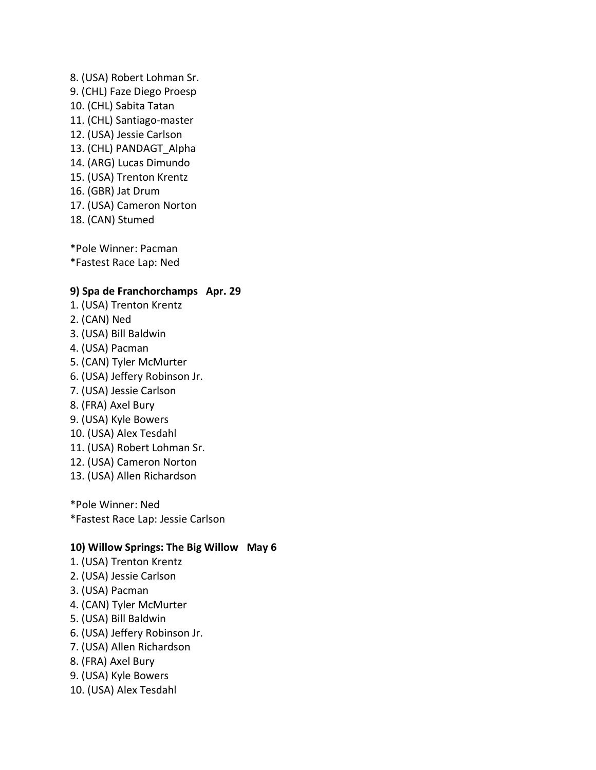8. (USA) Robert Lohman Sr. 9. (CHL) Faze Diego Proesp 10. (CHL) Sabita Tatan 11. (CHL) Santiago-master 12. (USA) Jessie Carlson 13. (CHL) PANDAGT\_Alpha 14. (ARG) Lucas Dimundo 15. (USA) Trenton Krentz 16. (GBR) Jat Drum 17. (USA) Cameron Norton 18. (CAN) Stumed

\*Pole Winner: Pacman \*Fastest Race Lap: Ned

#### **9) Spa de Franchorchamps Apr. 29**

- 1. (USA) Trenton Krentz
- 2. (CAN) Ned
- 3. (USA) Bill Baldwin
- 4. (USA) Pacman
- 5. (CAN) Tyler McMurter
- 6. (USA) Jeffery Robinson Jr.
- 7. (USA) Jessie Carlson
- 8. (FRA) Axel Bury
- 9. (USA) Kyle Bowers
- 10. (USA) Alex Tesdahl
- 11. (USA) Robert Lohman Sr.
- 12. (USA) Cameron Norton
- 13. (USA) Allen Richardson

\*Pole Winner: Ned \*Fastest Race Lap: Jessie Carlson

### **10) Willow Springs: The Big Willow May 6**

- 1. (USA) Trenton Krentz
- 2. (USA) Jessie Carlson
- 3. (USA) Pacman
- 4. (CAN) Tyler McMurter
- 5. (USA) Bill Baldwin
- 6. (USA) Jeffery Robinson Jr.
- 7. (USA) Allen Richardson
- 8. (FRA) Axel Bury
- 9. (USA) Kyle Bowers
- 10. (USA) Alex Tesdahl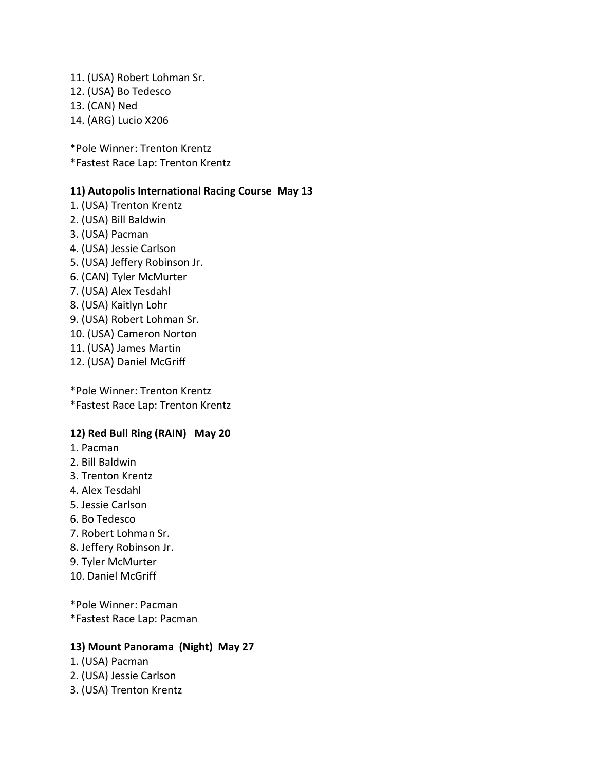11. (USA) Robert Lohman Sr. 12. (USA) Bo Tedesco 13. (CAN) Ned 14. (ARG) Lucio X206

\*Pole Winner: Trenton Krentz \*Fastest Race Lap: Trenton Krentz

### **11) Autopolis International Racing Course May 13**

- 1. (USA) Trenton Krentz
- 2. (USA) Bill Baldwin
- 3. (USA) Pacman
- 4. (USA) Jessie Carlson
- 5. (USA) Jeffery Robinson Jr.
- 6. (CAN) Tyler McMurter
- 7. (USA) Alex Tesdahl
- 8. (USA) Kaitlyn Lohr
- 9. (USA) Robert Lohman Sr.
- 10. (USA) Cameron Norton
- 11. (USA) James Martin
- 12. (USA) Daniel McGriff

\*Pole Winner: Trenton Krentz \*Fastest Race Lap: Trenton Krentz

### **12) Red Bull Ring (RAIN) May 20**

- 1. Pacman
- 2. Bill Baldwin
- 3. Trenton Krentz
- 4. Alex Tesdahl
- 5. Jessie Carlson
- 6. Bo Tedesco
- 7. Robert Lohman Sr.
- 8. Jeffery Robinson Jr.
- 9. Tyler McMurter
- 10. Daniel McGriff

\*Pole Winner: Pacman \*Fastest Race Lap: Pacman

### **13) Mount Panorama (Night) May 27**

- 1. (USA) Pacman
- 2. (USA) Jessie Carlson
- 3. (USA) Trenton Krentz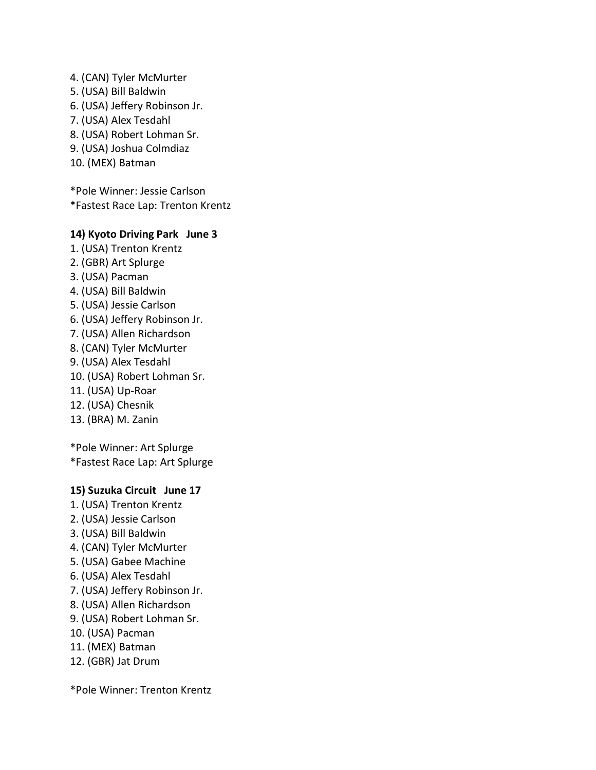- 4. (CAN) Tyler McMurter
- 5. (USA) Bill Baldwin
- 6. (USA) Jeffery Robinson Jr.
- 7. (USA) Alex Tesdahl
- 8. (USA) Robert Lohman Sr.
- 9. (USA) Joshua Colmdiaz
- 10. (MEX) Batman

\*Pole Winner: Jessie Carlson \*Fastest Race Lap: Trenton Krentz

## **14) Kyoto Driving Park June 3**

- 1. (USA) Trenton Krentz 2. (GBR) Art Splurge
- 3. (USA) Pacman
- 4. (USA) Bill Baldwin
- 5. (USA) Jessie Carlson
- 6. (USA) Jeffery Robinson Jr.
- 7. (USA) Allen Richardson
- 8. (CAN) Tyler McMurter
- 9. (USA) Alex Tesdahl
- 10. (USA) Robert Lohman Sr.
- 11. (USA) Up-Roar
- 12. (USA) Chesnik
- 13. (BRA) M. Zanin

\*Pole Winner: Art Splurge \*Fastest Race Lap: Art Splurge

## **15) Suzuka Circuit June 17**

- 1. (USA) Trenton Krentz
- 2. (USA) Jessie Carlson
- 3. (USA) Bill Baldwin
- 4. (CAN) Tyler McMurter
- 5. (USA) Gabee Machine
- 6. (USA) Alex Tesdahl
- 7. (USA) Jeffery Robinson Jr.
- 8. (USA) Allen Richardson
- 9. (USA) Robert Lohman Sr.
- 10. (USA) Pacman
- 11. (MEX) Batman
- 12. (GBR) Jat Drum

\*Pole Winner: Trenton Krentz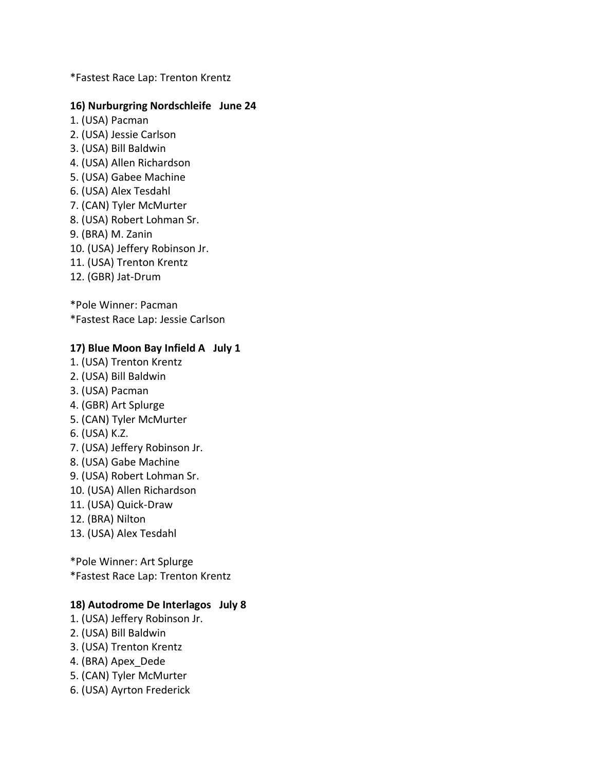\*Fastest Race Lap: Trenton Krentz

### **16) Nurburgring Nordschleife June 24**

- 1. (USA) Pacman
- 2. (USA) Jessie Carlson
- 3. (USA) Bill Baldwin
- 4. (USA) Allen Richardson
- 5. (USA) Gabee Machine
- 6. (USA) Alex Tesdahl
- 7. (CAN) Tyler McMurter
- 8. (USA) Robert Lohman Sr.
- 9. (BRA) M. Zanin
- 10. (USA) Jeffery Robinson Jr.
- 11. (USA) Trenton Krentz
- 12. (GBR) Jat-Drum

\*Pole Winner: Pacman \*Fastest Race Lap: Jessie Carlson

### **17) Blue Moon Bay Infield A July 1**

- 1. (USA) Trenton Krentz
- 2. (USA) Bill Baldwin
- 3. (USA) Pacman
- 4. (GBR) Art Splurge
- 5. (CAN) Tyler McMurter
- 6. (USA) K.Z.
- 7. (USA) Jeffery Robinson Jr.
- 8. (USA) Gabe Machine
- 9. (USA) Robert Lohman Sr.
- 10. (USA) Allen Richardson
- 11. (USA) Quick-Draw
- 12. (BRA) Nilton
- 13. (USA) Alex Tesdahl

\*Pole Winner: Art Splurge \*Fastest Race Lap: Trenton Krentz

#### **18) Autodrome De Interlagos July 8**

- 1. (USA) Jeffery Robinson Jr.
- 2. (USA) Bill Baldwin
- 3. (USA) Trenton Krentz
- 4. (BRA) Apex\_Dede
- 5. (CAN) Tyler McMurter
- 6. (USA) Ayrton Frederick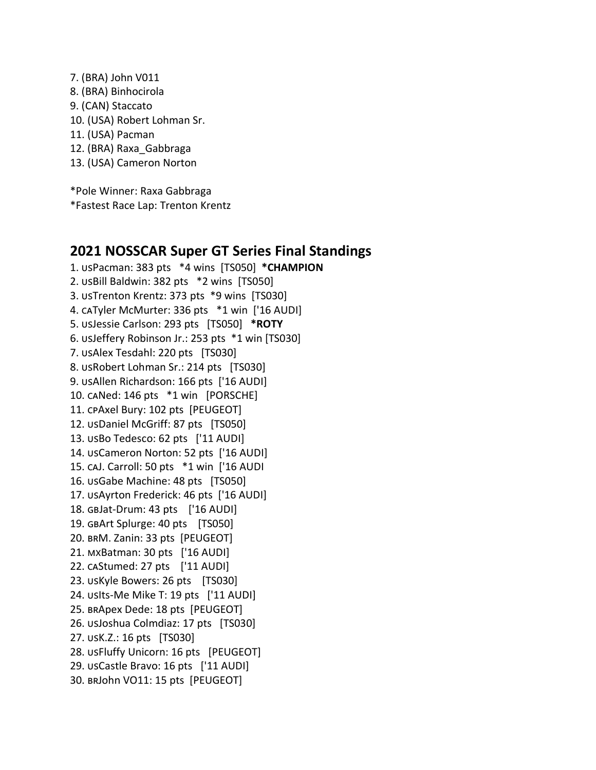7. (BRA) John V011 8. (BRA) Binhocirola 9. (CAN) Staccato 10. (USA) Robert Lohman Sr. 11. (USA) Pacman 12. (BRA) Raxa\_Gabbraga 13. (USA) Cameron Norton

\*Pole Winner: Raxa Gabbraga \*Fastest Race Lap: Trenton Krentz

# **2021 NOSSCAR Super GT Series Final Standings**

1. usPacman: 383 pts \*4 wins [TS050] \*CHAMPION 2. usBill Baldwin: 382 pts \*2 wins [TS050] 3. USTrenton Krentz: 373 pts \*9 wins [TS030] 4. CATyler McMurter: 336 pts \*1 win ['16 AUDI] 5. Jessie Carlson: 293 pts [TS050] **\*ROTY** 6. USJeffery Robinson Jr.: 253 pts \*1 win [TS030] 7. usAlex Tesdahl: 220 pts [TS030] 8. USRobert Lohman Sr.: 214 pts [TS030] 9. usAllen Richardson: 166 pts ['16 AUDI] 10. CANed: 146 pts \*1 win [PORSCHE] 11. CPAxel Bury: 102 pts [PEUGEOT] 12. usDaniel McGriff: 87 pts [TS050] 13. USBo Tedesco: 62 pts ['11 AUDI] 14. USCameron Norton: 52 pts ['16 AUDI] 15. caJ. Carroll: 50 pts \*1 win ['16 AUDI 16. usGabe Machine: 48 pts [TS050] 17. USAyrton Frederick: 46 pts ['16 AUDI] 18. GBJat-Drum: 43 pts ['16 AUDI] 19. GBArt Splurge: 40 pts [TS050] 20. BRM. Zanin: 33 pts [PEUGEOT] 21. MXBatman: 30 pts ['16 AUDI] 22. caStumed: 27 pts ['11 AUDI] 23. USKyle Bowers: 26 pts [TS030] 24. usits-Me Mike T: 19 pts ['11 AUDI] 25. BRApex Dede: 18 pts [PEUGEOT] 26. usJoshua Colmdiaz: 17 pts [TS030] 27. usK.Z.: 16 pts [TS030] 28. USFluffy Unicorn: 16 pts [PEUGEOT] 29. usCastle Bravo: 16 pts ['11 AUDI] 30. BRJohn VO11: 15 pts [PEUGEOT]